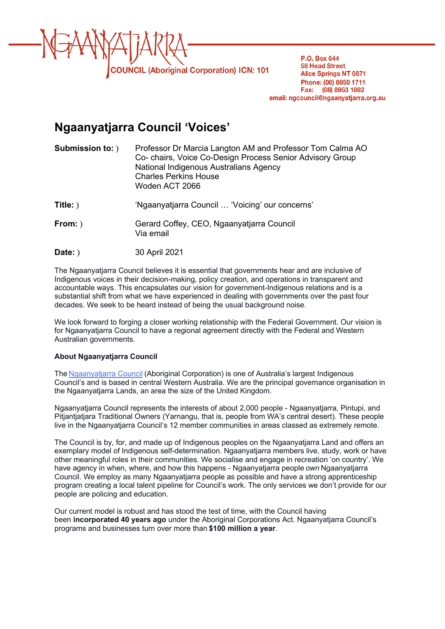

P.O. Box 644 **58 Head Street Alice Springs NT 0871** Phone: (08) 8950 1711 Fax: (08) 8953 1892 email: ngcouncil@ngaanyatjarra.org.au

# **Ngaanyatjarra Council 'Voices'**

| <b>Submission to:</b> ) | Professor Dr Marcia Langton AM and Professor Tom Calma AO<br>Co- chairs, Voice Co-Design Process Senior Advisory Group<br>National Indigenous Australians Agency<br><b>Charles Perkins House</b><br>Woden ACT 2066 |
|-------------------------|--------------------------------------------------------------------------------------------------------------------------------------------------------------------------------------------------------------------|
| Title: )                | 'Ngaanyatjarra Council  'Voicing' our concerns'                                                                                                                                                                    |
| From: )                 | Gerard Coffey, CEO, Ngaanyatjarra Council<br>Via email                                                                                                                                                             |
| Date: )                 | 30 April 2021                                                                                                                                                                                                      |

 The Ngaanyatjarra Council believes it is essential that governments hear and are inclusive of Indigenous voices in their decision-making, policy creation, and operations in transparent and accountable ways. This encapsulates our vision for government-Indigenous relations and is a substantial shift from what we have experienced in dealing with governments over the past four decades. We seek to be heard instead of being the usual background noise.

 We look forward to forging a closer working relationship with the Federal Government. Our vision is    Australian governments. for Ngaanyatjarra Council to have a regional agreement directly with the Federal and Western

# **About Ngaanyatjarra Council**

The Ngaanyatjarra Council (Aboriginal Corporation) is one of Australia's largest Indigenous Council's and is based in central Western Australia. We are the principal governance organisation in the Ngaanyatjarra Lands, an area the size of the United Kingdom.

 Ngaanyatjarra Council represents the interests of about 2,000 people - Ngaanyatjarra, Pintupi, and Pitjantjatjara Traditional Owners (Yarnangu, that is, people from WA's central desert). These people live in the Ngaanyatjarra Council's 12 member communities in areas classed as extremely remote.

 The Council is by, for, and made up of Indigenous peoples on the Ngaanyatjarra Land and offers an exemplary model of Indigenous self-determination. Ngaanyatjarra members live, study, work or have other meaningful roles in their communities. We socialise and engage in recreation 'on country'. We   have agency in when, where, and how this happens - Ngaanyatjarra people *own* Ngaanyatjarra Council. We employ as many Ngaanyatjarra people as possible and have a strong apprenticeship program creating a local talent pipeline for Council's work. The only services we don't provide for our people are policing and education.

 Our current model is robust and has stood the test of time, with the Council having been **incorporated 40 years ago** under the Aboriginal Corporations Act. Ngaanyatjarra Council's programs and businesses turn over more than **\$100 million a year**.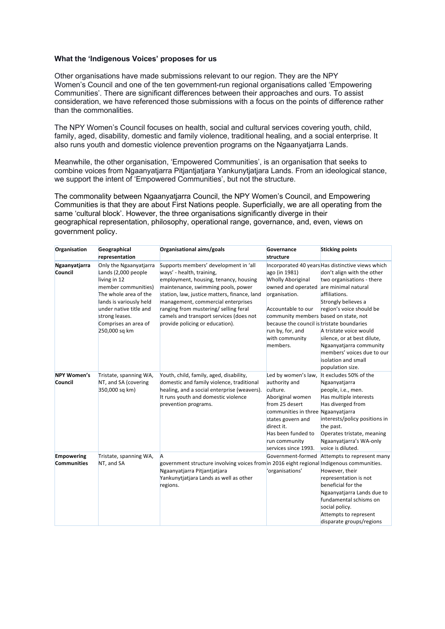## **What the 'Indigenous Voices' proposes for us**

 Other organisations have made submissions relevant to our region. They are the NPY Women's Council and one of the ten government-run regional organisations called 'Empowering Communities'. There are significant differences between their approaches and ours. To assist consideration, we have referenced those submissions with a focus on the points of difference rather than the commonalities.

 The NPY Women's Council focuses on health, social and cultural services covering youth, child, family, aged, disability, domestic and family violence, traditional healing, and a social enterprise. It also runs youth and domestic violence prevention programs on the Ngaanyatjarra Lands.

 Meanwhile, the other organisation, 'Empowered Communities', is an organisation that seeks to combine voices from Ngaanyatjarra Pitjantjatjara Yankunytjatjara Lands. From an ideological stance, we support the intent of 'Empowered Communities', but not the structure.

 The commonality between Ngaanyatjarra Council, the NPY Women's Council, and Empowering Communities is that they are about First Nations people. Superficially, we are all operating from the same 'cultural block'. However, the three organisations significantly diverge in their geographical representation, philosophy, operational range, governance, and, even, views on government policy.

| Organisation       | Geographical                          | Organisational aims/goals                                                                 | Governance                                 | <b>Sticking points</b>                            |
|--------------------|---------------------------------------|-------------------------------------------------------------------------------------------|--------------------------------------------|---------------------------------------------------|
|                    | representation                        |                                                                                           | structure                                  |                                                   |
| Ngaanyatjarra      | Only the Ngaanyatjarra                | Supports members' development in 'all                                                     |                                            | Incorporated 40 years Has distinctive views which |
| Council            | Lands (2,000 people                   | ways' - health, training,                                                                 | ago (in 1981)                              | don't align with the other                        |
|                    | living in 12                          | employment, housing, tenancy, housing                                                     | <b>Wholly Aboriginal</b>                   | two organisations - there                         |
|                    | member communities)                   | maintenance, swimming pools, power                                                        | owned and operated are minimal natural     |                                                   |
|                    | The whole area of the                 | station, law, justice matters, finance, land                                              | organisation.                              | affiliations.                                     |
|                    | lands is variously held               | management, commercial enterprises                                                        |                                            | Strongly believes a                               |
|                    | under native title and                | ranging from mustering/selling feral                                                      | Accountable to our                         | region's voice should be                          |
|                    | strong leases.                        | camels and transport services (does not                                                   | community members based on state, not      |                                                   |
|                    | Comprises an area of<br>250,000 sq km | provide policing or education).                                                           | because the council is tristate boundaries |                                                   |
|                    |                                       |                                                                                           | run by, for, and                           | A tristate voice would                            |
|                    |                                       |                                                                                           | with community                             | silence, or at best dilute,                       |
|                    |                                       |                                                                                           | members.                                   | Ngaanyatjarra community                           |
|                    |                                       |                                                                                           |                                            | members' voices due to our                        |
|                    |                                       |                                                                                           |                                            | isolation and small                               |
|                    |                                       |                                                                                           |                                            | population size.                                  |
| <b>NPY Women's</b> | Tristate, spanning WA,                | Youth, child, family, aged, disability,                                                   | Led by women's law,                        | It excludes 50% of the                            |
| Council            | NT, and SA (covering                  | domestic and family violence, traditional                                                 | authority and                              | Ngaanyatjarra                                     |
|                    | 350,000 sq km)                        | healing, and a social enterprise (weavers).                                               | culture.                                   | people, i.e., men.                                |
|                    |                                       | It runs youth and domestic violence                                                       | Aboriginal women                           | Has multiple interests                            |
|                    |                                       | prevention programs.                                                                      | from 25 desert                             | Has diverged from                                 |
|                    |                                       |                                                                                           | communities in three Ngaanyatjarra         |                                                   |
|                    |                                       |                                                                                           | states govern and                          | interests/policy positions in                     |
|                    |                                       |                                                                                           | direct it.                                 | the past.                                         |
|                    |                                       |                                                                                           | Has been funded to                         | Operates tristate, meaning                        |
|                    |                                       |                                                                                           | run community                              | Ngaanyatjarra's WA-only                           |
|                    |                                       |                                                                                           | services since 1993.                       | voice is diluted.                                 |
| <b>Empowering</b>  | Tristate, spanning WA,                | A                                                                                         | Government-formed                          | Attempts to represent many                        |
| <b>Communities</b> | NT, and SA                            | government structure involving voices from in 2016 eight regional Indigenous communities. |                                            |                                                   |
|                    |                                       | Ngaanyatjarra Pitjantjatjara                                                              | 'organisations'                            | However, their                                    |
|                    |                                       | Yankunytjatjara Lands as well as other                                                    |                                            | representation is not                             |
|                    |                                       | regions.                                                                                  |                                            | beneficial for the                                |
|                    |                                       |                                                                                           |                                            | Ngaanyatjarra Lands due to                        |
|                    |                                       |                                                                                           |                                            | fundamental schisms on                            |
|                    |                                       |                                                                                           |                                            | social policy.                                    |
|                    |                                       |                                                                                           |                                            | Attempts to represent                             |
|                    |                                       |                                                                                           |                                            | disparate groups/regions                          |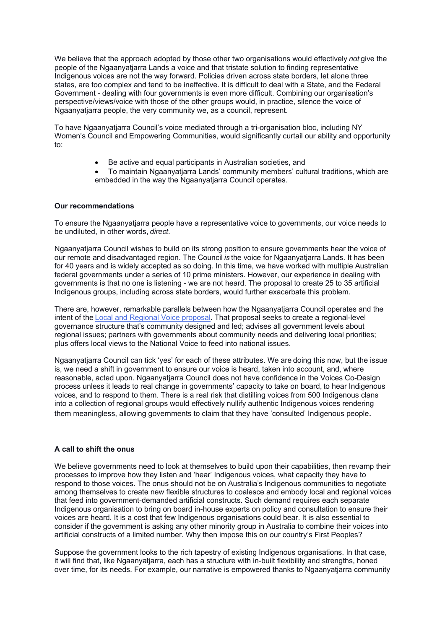We believe that the approach adopted by those other two organisations would effectively *not* give the Indigenous voices are not the way forward. Policies driven across state borders, let alone three states, are too complex and tend to be ineffective. It is difficult to deal with a State, and the Federal Government - dealing with four governments is even more difficult. Combining our organisation's Ngaanyatjarra people, the very community we, as a council, represent. people of the Ngaanyatjarra Lands a voice and that tristate solution to finding representative perspective/views/voice with those of the other groups would, in practice, silence the voice of

Ngaanyatjarra people, the very community we, as a council, represent.<br>To have Ngaanyatjarra Council's voice mediated through a tri-organisation bloc, including NY Women's Council and Empowering Communities, would significantly curtail our ability and opportunity to:

- Be active and equal participants in Australian societies, and
- • To maintain Ngaanyatjarra Lands' community members' cultural traditions, which are embedded in the way the Ngaanyatjarra Council operates.

### **Our recommendations**

 To ensure the Ngaanyatjarra people have a representative voice to governments, our voice needs to   be undiluted, in other words, *direct*.

 Ngaanyatjarra Council wishes to build on its strong position to ensure governments hear the voice of our remote and disadvantaged region. The Council *is* the voice for Ngaanyatjarra Lands. It has been governments is that no one is listening - we are not heard. The proposal to create 25 to 35 artificial for 40 years and is widely accepted as so doing. In this time, we have worked with multiple Australian federal governments under a series of 10 prime ministers. However, our experience in dealing with Indigenous groups, including across state borders, would further exacerbate this problem.

 There are, however, remarkable parallels between how the Ngaanyatjarra Council operates and the intent of the Local and Regional Voice proposal. That proposal seeks to create a regional-level governance structure that's community designed and led; advises all government levels about regional issues; partners with governments about community needs and delivering local priorities; plus offers local views to the National Voice to feed into national issues.

 Ngaanyatjarra Council can tick 'yes' for each of these attributes. We are doing this now, but the issue is, we need a shift in government to ensure our voice is heard, taken into account, and, where   process unless it leads to real change in governments' capacity to take on board, to hear Indigenous voices, and to respond to them. There is a real risk that distilling voices from 500 Indigenous clans into a collection of regional groups would effectively nullify authentic Indigenous voices rendering them meaningless, allowing governments to claim that they have 'consulted' Indigenous people. reasonable, acted upon. Ngaanyatjarra Council does not have confidence in the Voices Co-Design

#### **A call to shift the onus**

 We believe governments need to look at themselves to build upon their capabilities, then revamp their processes to improve how they listen and 'hear' Indigenous voices, what capacity they have to that feed into government-demanded artificial constructs. Such demand requires each separate Indigenous organisation to bring on board in-house experts on policy and consultation to ensure their voices are heard. It is a cost that few Indigenous organisations could bear. It is also essential to consider if the government is asking any other minority group in Australia to combine their voices into respond to those voices. The onus should not be on Australia's Indigenous communities to negotiate among themselves to create new flexible structures to coalesce and embody local and regional voices artificial constructs of a limited number. Why then impose this on our country's First Peoples?

 Suppose the government looks to the rich tapestry of existing Indigenous organisations. In that case, it will find that, like Ngaanyatjarra, each has a structure with in-built flexibility and strengths, honed over time, for its needs. For example, our narrative is empowered thanks to Ngaanyatjarra community